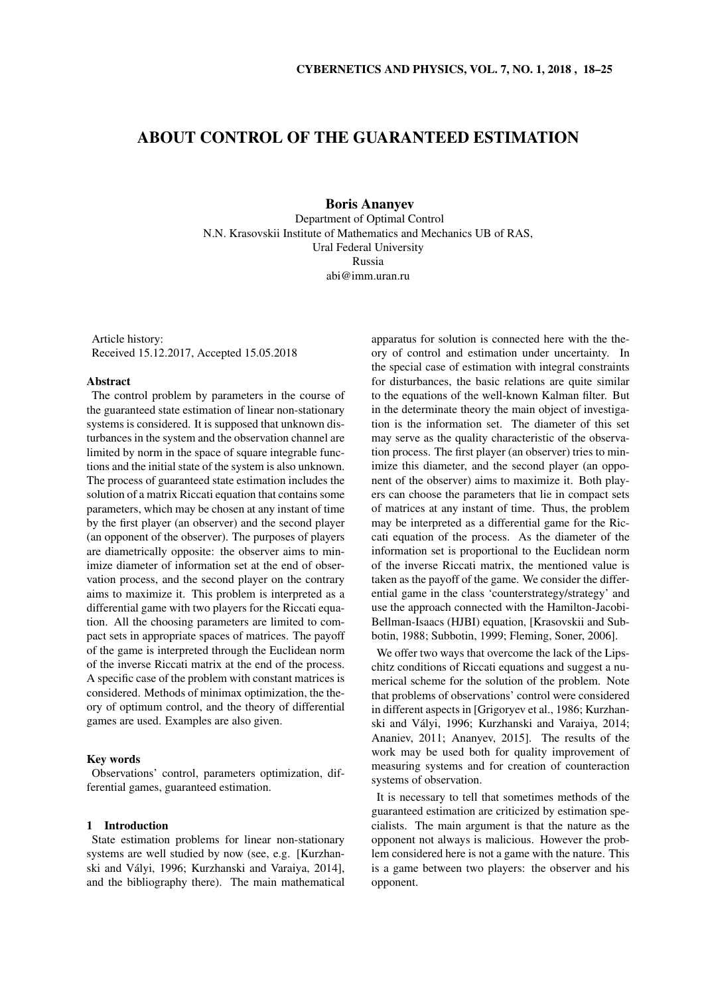# ABOUT CONTROL OF THE GUARANTEED ESTIMATION

Boris Ananyev Department of Optimal Control N.N. Krasovskii Institute of Mathematics and Mechanics UB of RAS, Ural Federal University Russia abi@imm.uran.ru

Article history: Received 15.12.2017, Accepted 15.05.2018

## Abstract

The control problem by parameters in the course of the guaranteed state estimation of linear non-stationary systems is considered. It is supposed that unknown disturbances in the system and the observation channel are limited by norm in the space of square integrable functions and the initial state of the system is also unknown. The process of guaranteed state estimation includes the solution of a matrix Riccati equation that contains some parameters, which may be chosen at any instant of time by the first player (an observer) and the second player (an opponent of the observer). The purposes of players are diametrically opposite: the observer aims to minimize diameter of information set at the end of observation process, and the second player on the contrary aims to maximize it. This problem is interpreted as a differential game with two players for the Riccati equation. All the choosing parameters are limited to compact sets in appropriate spaces of matrices. The payoff of the game is interpreted through the Euclidean norm of the inverse Riccati matrix at the end of the process. A specific case of the problem with constant matrices is considered. Methods of minimax optimization, the theory of optimum control, and the theory of differential games are used. Examples are also given.

# Key words

Observations' control, parameters optimization, differential games, guaranteed estimation.

## 1 Introduction

State estimation problems for linear non-stationary systems are well studied by now (see, e.g. [Kurzhanski and Valyi, 1996; Kurzhanski and Varaiya, 2014], ´ and the bibliography there). The main mathematical

apparatus for solution is connected here with the theory of control and estimation under uncertainty. In the special case of estimation with integral constraints for disturbances, the basic relations are quite similar to the equations of the well-known Kalman filter. But in the determinate theory the main object of investigation is the information set. The diameter of this set may serve as the quality characteristic of the observation process. The first player (an observer) tries to minimize this diameter, and the second player (an opponent of the observer) aims to maximize it. Both players can choose the parameters that lie in compact sets of matrices at any instant of time. Thus, the problem may be interpreted as a differential game for the Riccati equation of the process. As the diameter of the information set is proportional to the Euclidean norm of the inverse Riccati matrix, the mentioned value is taken as the payoff of the game. We consider the differential game in the class 'counterstrategy/strategy' and use the approach connected with the Hamilton-Jacobi-Bellman-Isaacs (HJBI) equation, [Krasovskii and Subbotin, 1988; Subbotin, 1999; Fleming, Soner, 2006].

We offer two ways that overcome the lack of the Lipschitz conditions of Riccati equations and suggest a numerical scheme for the solution of the problem. Note that problems of observations' control were considered in different aspects in [Grigoryev et al., 1986; Kurzhanski and Vályi, 1996; Kurzhanski and Varaiya, 2014; Ananiev, 2011; Ananyev, 2015]. The results of the work may be used both for quality improvement of measuring systems and for creation of counteraction systems of observation.

It is necessary to tell that sometimes methods of the guaranteed estimation are criticized by estimation specialists. The main argument is that the nature as the opponent not always is malicious. However the problem considered here is not a game with the nature. This is a game between two players: the observer and his opponent.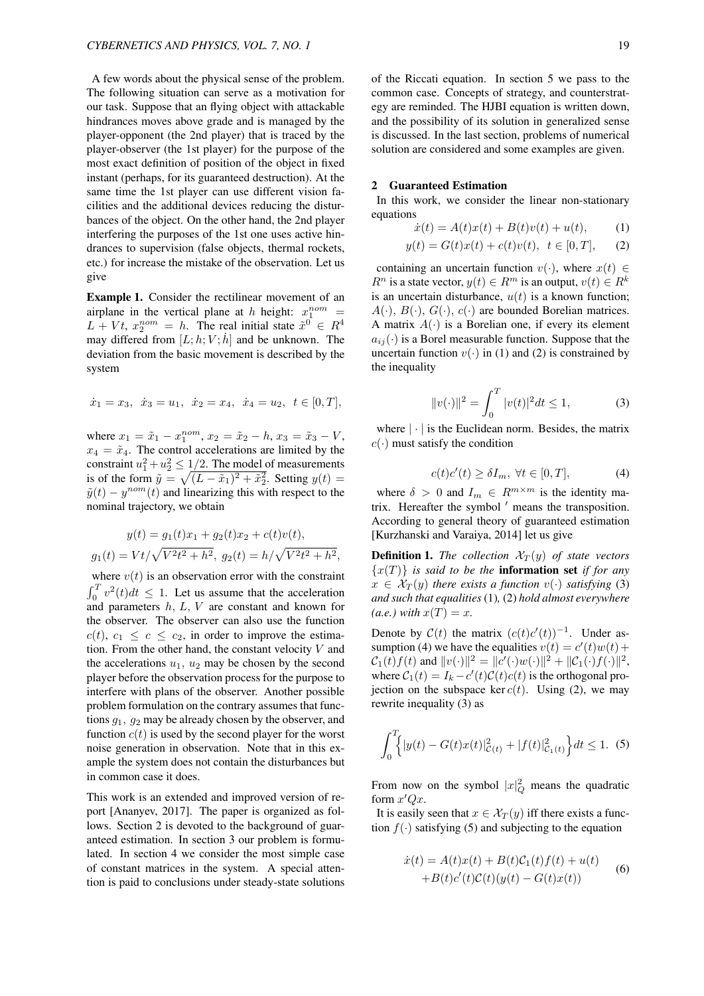A few words about the physical sense of the problem. The following situation can serve as a motivation for our task. Suppose that an flying object with attackable hindrances moves above grade and is managed by the player-opponent (the 2nd player) that is traced by the player-observer (the 1st player) for the purpose of the most exact definition of position of the object in fixed instant (perhaps, for its guaranteed destruction). At the same time the 1st player can use different vision facilities and the additional devices reducing the disturbances of the object. On the other hand, the 2nd player interfering the purposes of the 1st one uses active hindrances to supervision (false objects, thermal rockets, etc.) for increase the mistake of the observation. Let us give

Example 1. Consider the rectilinear movement of an airplane in the vertical plane at *h* height:  $x_1^{nom}$  =  $L + Vt$ ,  $x_2^{nom} = h$ . The real initial state  $\tilde{x}^0 \in R^4$ may differed from  $[L; h; V; \dot{h}]$  and be unknown. The deviation from the basic movement is described by the system

$$
\dot{x}_1 = x_3, \ \dot{x}_3 = u_1, \ \dot{x}_2 = x_4, \ \dot{x}_4 = u_2, \ t \in [0, T],
$$

where  $x_1 = \tilde{x}_1 - x_1^{nom}, x_2 = \tilde{x}_2 - h, x_3 = \tilde{x}_3 - V$ ,  $x_4 = \tilde{x}_4$ . The control accelerations are limited by the constraint  $u_1^2 + u_2^2 \leq 1/2$ . The model of measurements is of the form  $\tilde{y} = \sqrt{(L - \tilde{x}_1)^2 + \tilde{x}_2^2}$ . Setting  $y(t) =$  $\tilde{y}(t) - y^{nom}(t)$  and linearizing this with respect to the nominal trajectory, we obtain

$$
y(t) = g_1(t)x_1 + g_2(t)x_2 + c(t)v(t),
$$
  

$$
g_1(t) = Vt/\sqrt{V^2t^2 + h^2}, \ g_2(t) = h/\sqrt{V^2t^2 + h^2},
$$

where  $v(t)$  is an observation error with the constraint  $\int_0^T v^2(t)dt \leq 1$ . Let us assume that the acceleration and parameters *h, L, V* are constant and known for the observer. The observer can also use the function  $c(t)$ ,  $c_1 \leq c \leq c_2$ , in order to improve the estimation. From the other hand, the constant velocity *V* and the accelerations  $u_1$ ,  $u_2$  may be chosen by the second player before the observation process for the purpose to interfere with plans of the observer. Another possible problem formulation on the contrary assumes that functions *g*1*, g*<sup>2</sup> may be already chosen by the observer, and function  $c(t)$  is used by the second player for the worst noise generation in observation. Note that in this example the system does not contain the disturbances but in common case it does.

This work is an extended and improved version of report [Ananyev, 2017]. The paper is organized as follows. Section 2 is devoted to the background of guaranteed estimation. In section 3 our problem is formulated. In section 4 we consider the most simple case of constant matrices in the system. A special attention is paid to conclusions under steady-state solutions

## 2 Guaranteed Estimation

In this work, we consider the linear non-stationary equations

$$
\dot{x}(t) = A(t)x(t) + B(t)v(t) + u(t), \qquad (1)
$$

$$
y(t) = G(t)x(t) + c(t)v(t), \ \ t \in [0, T], \qquad (2)
$$

containing an uncertain function  $v(\cdot)$ , where  $x(t) \in$  $R^n$  is a state vector,  $y(t) \in R^m$  is an output,  $v(t) \in R^k$ is an uncertain disturbance,  $u(t)$  is a known function;  $A(\cdot)$ ,  $B(\cdot)$ ,  $G(\cdot)$ ,  $c(\cdot)$  are bounded Borelian matrices. A matrix  $A(\cdot)$  is a Borelian one, if every its element  $a_{ij}(\cdot)$  is a Borel measurable function. Suppose that the uncertain function  $v(\cdot)$  in (1) and (2) is constrained by the inequality

$$
||v(\cdot)||^2 = \int_0^T |v(t)|^2 dt \le 1,
$$
 (3)

where *| · |* is the Euclidean norm. Besides, the matrix  $c(\cdot)$  must satisfy the condition

$$
c(t)c'(t) \ge \delta I_m, \ \forall t \in [0, T], \tag{4}
$$

where  $\delta > 0$  and  $I_m \in R^{m \times m}$  is the identity matrix. Hereafter the symbol *′* means the transposition. According to general theory of guaranteed estimation [Kurzhanski and Varaiya, 2014] let us give

**Definition 1.** *The collection*  $\mathcal{X}_T(y)$  *of state vectors*  ${x(T)}$  *is said to be the information set if for any*  $x \in \mathcal{X}_T(y)$  *there exists a function*  $v(\cdot)$  *satisfying* (3) *and such that equalities*(1)*,* (2) *hold almost everywhere*  $(a.e.)$  *with*  $x(T) = x$ *.* 

Denote by  $C(t)$  the matrix  $(c(t)c'(t))^{-1}$ . Under assumption (4) we have the equalities  $v(t) = c'(t)w(t) + c(t)w(t)$  $C_1(t)f(t)$  and  $||v(\cdot)||^2 = ||c'(\cdot)w(\cdot)||^2 + ||C_1(\cdot)f(\cdot)||^2$ , where  $C_1(t) = I_k - c'(t)C(t)c(t)$  is the orthogonal projection on the subspace ker  $c(t)$ . Using (2), we may rewrite inequality (3) as

$$
\int_0^T \left\{ |y(t) - G(t)x(t)|^2_{\mathcal{C}(t)} + |f(t)|^2_{\mathcal{C}_1(t)} \right\} dt \le 1. \tag{5}
$$

From now on the symbol  $|x|_Q^2$  means the quadratic form  $x'Qx$ .

It is easily seen that  $x \in \mathcal{X}_T(y)$  iff there exists a function  $f(\cdot)$  satisfying (5) and subjecting to the equation

$$
\dot{x}(t) = A(t)x(t) + B(t)\mathcal{C}_1(t)f(t) + u(t)
$$
  
+
$$
B(t)c'(t)\mathcal{C}(t)(y(t) - G(t)x(t))
$$
 (6)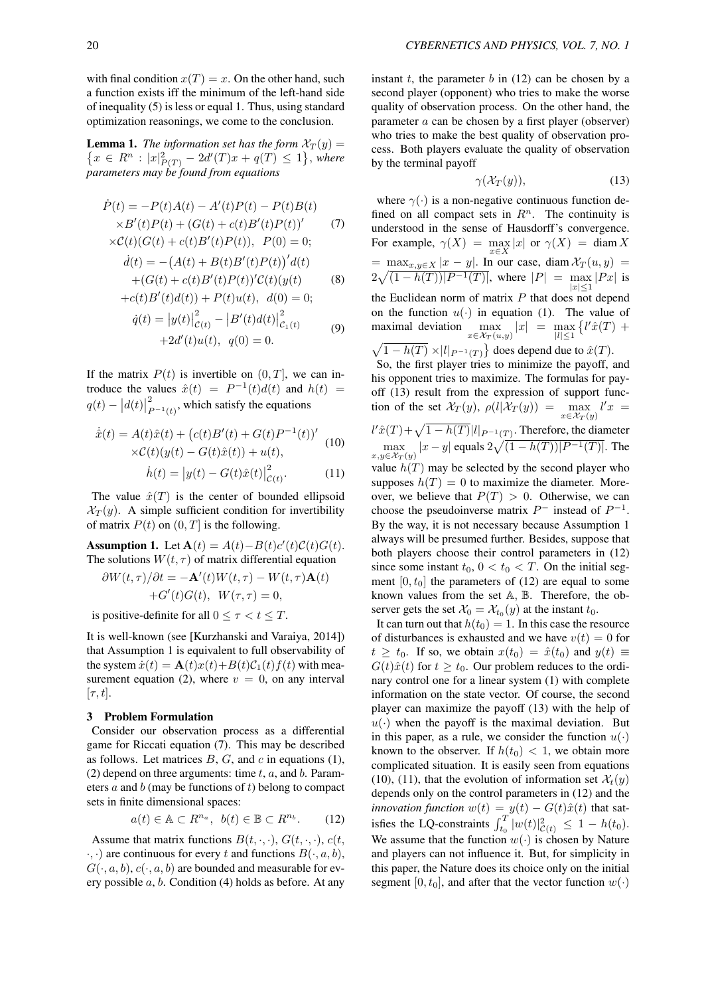with final condition  $x(T) = x$ . On the other hand, such a function exists iff the minimum of the left-hand side of inequality (5) is less or equal 1. Thus, using standard optimization reasonings, we come to the conclusion.

**Lemma 1.** *The information set has the form*  $\mathcal{X}_T(y) =$ { $x \in R^n$  :  $|x|_{P(T)}^2 - 2d'(T)x + q(T) \le 1$ }, where *parameters may be found from equations*

$$
\dot{P}(t) = -P(t)A(t) - A'(t)P(t) - P(t)B(t) \times B'(t)P(t) + (G(t) + c(t)B'(t)P(t))'
$$
\n(7)  
\n
$$
\times C(t)(G(t) + c(t)B'(t)P(t)), P(0) = 0;
$$

$$
\dot{d}(t) = -\left(A(t) + B(t)B'(t)P(t)\right)'d(t) +(G(t) + c(t)B'(t)P(t))'C(t)(y(t))
$$
(8)

$$
+c(t)B'(t)d(t) + P(t)u(t), d(0) = 0;
$$
  
\n
$$
\dot{q}(t) = |y(t)|_{\mathcal{C}(t)}^2 - |B'(t)d(t)|_{\mathcal{C}_1(t)}^2
$$
  
\n
$$
+2d'(t)u(t), q(0) = 0.
$$
\n(9)

If the matrix  $P(t)$  is invertible on  $(0, T]$ , we can introduce the values  $\hat{x}(t) = P^{-1}(t)d(t)$  and  $h(t) =$  $q(t) - |d(t)|_P^2$  $\sum_{P^{-1}(t)}^{2}$ , which satisfy the equations

$$
\dot{\hat{x}}(t) = A(t)\hat{x}(t) + (c(t)B'(t) + G(t)P^{-1}(t))'
$$
  
× $C(t)(y(t) - G(t)\hat{x}(t)) + u(t)$ , (10)

$$
\dot{h}(t) = |y(t) - G(t)\hat{x}(t)|_{\mathcal{C}(t)}^2.
$$
 (11)

The value  $\hat{x}(T)$  is the center of bounded ellipsoid  $\mathcal{X}_T(y)$ . A simple sufficient condition for invertibility of matrix  $P(t)$  on  $(0, T]$  is the following.

Assumption 1. Let  $\mathbf{A}(t) = A(t) - B(t)c'(t)C(t)G(t)$ . The solutions  $W(t, \tau)$  of matrix differential equation

$$
\frac{\partial W(t,\tau)}{\partial t} = -\mathbf{A}'(t)W(t,\tau) - W(t,\tau)\mathbf{A}(t) +G'(t)G(t), \quad W(\tau,\tau) = 0,
$$

is positive-definite for all  $0 \leq \tau \leq t \leq T$ .

It is well-known (see [Kurzhanski and Varaiya, 2014]) that Assumption 1 is equivalent to full observability of the system  $\dot{x}(t) = \mathbf{A}(t)x(t) + B(t)\mathcal{C}_1(t)f(t)$  with measurement equation (2), where  $v = 0$ , on any interval  $[\tau, t]$ .

# 3 Problem Formulation

Consider our observation process as a differential game for Riccati equation (7). This may be described as follows. Let matrices *B*, *G*, and *c* in equations (1), (2) depend on three arguments: time *t*, *a*, and *b*. Parameters *a* and *b* (may be functions of *t*) belong to compact sets in finite dimensional spaces:

$$
a(t) \in \mathbb{A} \subset R^{n_a}, \ b(t) \in \mathbb{B} \subset R^{n_b}.\tag{12}
$$

Assume that matrix functions  $B(t, \cdot, \cdot)$ ,  $G(t, \cdot, \cdot)$ ,  $c(t, \cdot, \cdot)$ *·, ·*) are continuous for every *t* and functions *B*(*·, a, b*),  $G(\cdot, a, b)$ ,  $c(\cdot, a, b)$  are bounded and measurable for every possible *a*, *b*. Condition (4) holds as before. At any instant  $t$ , the parameter  $b$  in (12) can be chosen by a second player (opponent) who tries to make the worse quality of observation process. On the other hand, the parameter *a* can be chosen by a first player (observer) who tries to make the best quality of observation process. Both players evaluate the quality of observation by the terminal payoff

$$
\gamma(\mathcal{X}_T(y)),\tag{13}
$$

where  $\gamma(\cdot)$  is a non-negative continuous function defined on all compact sets in  $R^n$ . The continuity is understood in the sense of Hausdorff's convergence. For example,  $\gamma(X) = \max_{x \in X} |x|$  or  $\gamma(X) = \text{diam } X$  $=$   $\frac{\max_{x,y\in X} |x-y|}{\max_{x,y\in X} |x-y|}$ . In our case, diam  $\mathcal{X}_T(u,y) =$  $2\sqrt{(1-h(T))|P^{-1}(T)|}$ , where  $|P| = \max$ *|x|≤*1  $|Px|$  is the Euclidean norm of matrix *P* that does not depend on the function  $u(\cdot)$  in equation (1). The value of maximal deviation *x∈X<sup>T</sup>* (*u,y*)  $|x| = \max$ *|l|≤*1  $\{l'\hat{x}(T) +$  $\sqrt{1 - h(T)} \times |l|_{P^{-1}(T)}$ } does depend due to  $\hat{x}(T)$ .

So, the first player tries to minimize the payoff, and his opponent tries to maximize. The formulas for payoff (13) result from the expression of support function of the set  $\mathcal{X}_T(y)$ ,  $\rho(l|\mathcal{X}_T(y)) = \max_{x \in \mathcal{X}_T(y)}$  $l'x =$  $l' \hat{x}(T) + \sqrt{1 - h(T)} |l|_{P^{-1}(T)}$ . Therefore, the diameter max  $x,y$ ∈ $\mathcal{X}_T(y)$  $|x - y|$  equals  $2\sqrt{(1 - h(T))|P^{-1}(T)}$ . The value  $h(T)$  may be selected by the second player who supposes  $h(T) = 0$  to maximize the diameter. Moreover, we believe that  $P(T) > 0$ . Otherwise, we can choose the pseudoinverse matrix  $P^-$  instead of  $P^{-1}$ . By the way, it is not necessary because Assumption 1 always will be presumed further. Besides, suppose that both players choose their control parameters in (12)

since some instant  $t_0$ ,  $0 < t_0 < T$ . On the initial segment  $[0, t_0]$  the parameters of  $(12)$  are equal to some known values from the set A*,* B. Therefore, the observer gets the set  $\mathcal{X}_0 = \mathcal{X}_{t_0}(y)$  at the instant  $t_0$ .

It can turn out that  $h(t_0) = 1$ . In this case the resource of disturbances is exhausted and we have  $v(t) = 0$  for  $t \geq t_0$ . If so, we obtain  $x(t_0) = \hat{x}(t_0)$  and  $y(t) \equiv$  $G(t)\hat{x}(t)$  for  $t \geq t_0$ . Our problem reduces to the ordinary control one for a linear system (1) with complete information on the state vector. Of course, the second player can maximize the payoff (13) with the help of  $u(\cdot)$  when the payoff is the maximal deviation. But in this paper, as a rule, we consider the function  $u(\cdot)$ known to the observer. If  $h(t_0) < 1$ , we obtain more complicated situation. It is easily seen from equations (10), (11), that the evolution of information set  $\mathcal{X}_t(y)$ depends only on the control parameters in (12) and the *innovation function*  $w(t) = y(t) - G(t)\hat{x}(t)$  that satisfies the LQ-constraints  $\int_{t_0}^{T} |w(t)|^2_{\mathcal{C}(t)} \leq 1 - h(t_0)$ . We assume that the function  $w(\cdot)$  is chosen by Nature and players can not influence it. But, for simplicity in this paper, the Nature does its choice only on the initial segment  $[0, t_0]$ , and after that the vector function  $w(\cdot)$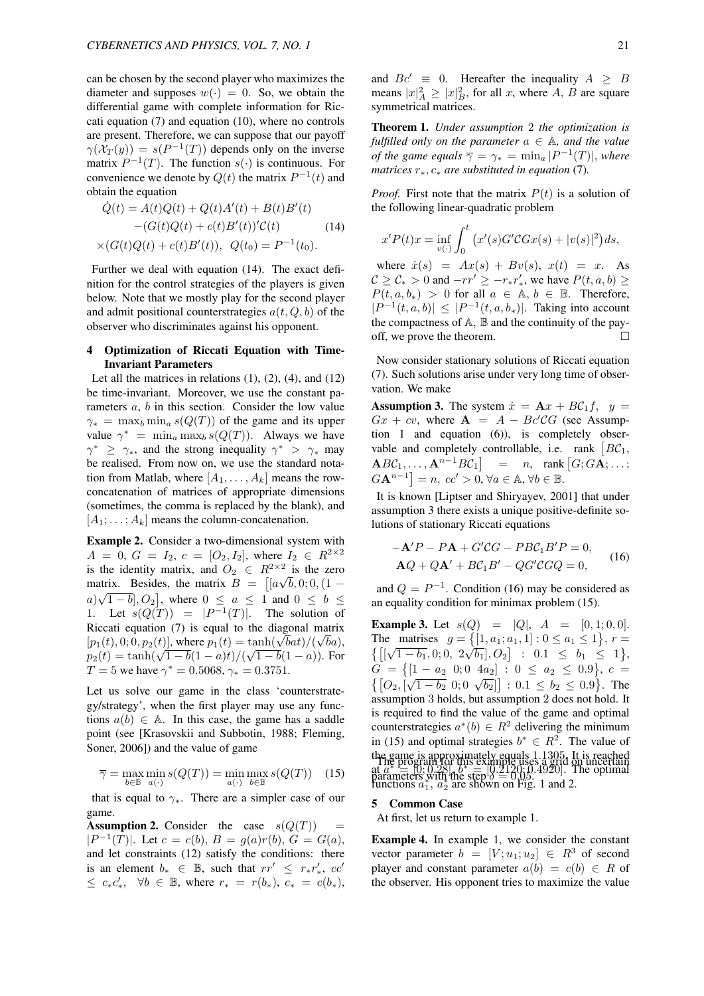can be chosen by the second player who maximizes the diameter and supposes  $w(\cdot) = 0$ . So, we obtain the differential game with complete information for Riccati equation (7) and equation (10), where no controls are present. Therefore, we can suppose that our payoff  $\gamma(\mathcal{X}_T(y)) = s(P^{-1}(T))$  depends only on the inverse matrix  $P^{-1}(T)$ . The function  $s(\cdot)$  is continuous. For convenience we denote by  $Q(t)$  the matrix  $P^{-1}(t)$  and obtain the equation

$$
\dot{Q}(t) = A(t)Q(t) + Q(t)A'(t) + B(t)B'(t)
$$

$$
-(G(t)Q(t) + c(t)B'(t))'\mathcal{C}(t)
$$
(14)
$$
\times (G(t)Q(t) + c(t)B'(t)), \ Q(t_0) = P^{-1}(t_0).
$$

Further we deal with equation (14). The exact definition for the control strategies of the players is given below. Note that we mostly play for the second player and admit positional counterstrategies *a*(*t, Q, b*) of the observer who discriminates against his opponent.

# 4 Optimization of Riccati Equation with Time-Invariant Parameters

Let all the matrices in relations  $(1)$ ,  $(2)$ ,  $(4)$ , and  $(12)$ be time-invariant. Moreover, we use the constant parameters *a*, *b* in this section. Consider the low value  $\gamma_* = \max_b \min_a s(Q(T))$  of the game and its upper value  $\gamma^* = \min_a \max_b s(Q(T))$ . Always we have  $\gamma^*$  *≥ γ*<sup>\*</sup>, and the strong inequality  $\gamma^*$  *> γ*<sup>\*</sup> may be realised. From now on, we use the standard notation from Matlab, where  $[A_1, \ldots, A_k]$  means the rowconcatenation of matrices of appropriate dimensions (sometimes, the comma is replaced by the blank), and  $[A_1; \ldots; A_k]$  means the column-concatenation.

Example 2. Consider a two-dimensional system with  $A = 0, G = I_2, c = [O_2, I_2],$  where  $I_2 \in R^{2 \times 2}$ is the identity matrix, and  $O_2 \in R^{2 \times 2}$  is the zero matrix. Besides, the matrix  $B = [[a\sqrt{b}, 0; 0, (1 - a)]$  $a) \sqrt{1-b}$ ,  $O_2$ , where  $0 \le a \le 1$  and  $0 \le b \le$ 1. Let  $s(Q(T)) = |P^{-1}(T)|$ . The solution of Riccati equation (7) is equal to the diagonal matrix *√*  $[p_1(t), 0; 0, p_2(t)]$ , where  $p_1(t) = \tanh(\sqrt{b}at)/(\sqrt{b}a)$ ,  $p_2(t) = \tanh(\sqrt{1 - b}(1 - a)t) / (\sqrt{1 - b}(1 - a))$ . For *T* = 5 we have  $\gamma^* = 0.5068$ ,  $\gamma_* = 0.3751$ .

Let us solve our game in the class 'counterstrategy/strategy', when the first player may use any functions  $a(b) \in A$ . In this case, the game has a saddle point (see [Krasovskii and Subbotin, 1988; Fleming, Soner, 2006]) and the value of game

$$
\overline{\gamma} = \max_{b \in \mathbb{B}} \min_{a(\cdot)} s(Q(T)) = \min_{a(\cdot)} \max_{b \in \mathbb{B}} s(Q(T)) \quad (15)
$$

that is equal to *γ∗*. There are a simpler case of our game.

Assumption 2. Consider the case  $s(Q(T))$ *|P*<sup>−1</sup>(*T*)|*.* Let *c* = *c*(*b*)*, B* = *g*(*a*)*r*(*b*)*, G* = *G*(*a*)*,* and let constraints (12) satisfy the conditions: there is an element  $b_* \in \mathbb{B}$ , such that  $rr' \leq r_*r'_*,$   $cc'$  $\leq$  *c*<sub>*\**</sub> $c'_{*}$ ,  $\forall b \in \mathbb{B}$ , where  $r_{*} = r(b_{*})$ ,  $c_{*} = c(b_{*})$ , and  $Bc' \equiv 0$ . Hereafter the inequality  $A \geq B$ means  $|x|_A^2 \ge |x|_B^2$ , for all *x*, where *A*, *B* are square symmetrical matrices.

Theorem 1. *Under assumption* 2 *the optimization is fulfilled only on the parameter*  $a \in A$ *, and the value of the game equals*  $\overline{\gamma} = \gamma_* = \min_a |P^{-1}(T)|$ *, where matrices r∗, c<sup>∗</sup> are substituted in equation* (7)*.*

*Proof.* First note that the matrix  $P(t)$  is a solution of the following linear-quadratic problem

$$
x'P(t)x = \inf_{v(\cdot)} \int_0^t (x'(s)G'C G x(s) + |v(s)|^2) ds,
$$

where  $\dot{x}(s) = Ax(s) + Bv(s), x(t) = x$ . As *C* ≥ *C*<sub>*\**</sub> > 0 and *−rr'* ≥ *−r*<sub>*\**</sub>*r'*<sub>*\**</sub>, we have *P*(*t, a, b*) ≥  $P(t, a, b_*) > 0$  for all  $a \in A, b \in B$ . Therefore, *|P*<sup>−1</sup>(*t, a, b*)*|* ≤ *|P*<sup>−1</sup>(*t, a, b*<sub>*\**</sub>)*|*. Taking into account the compactness of  $A$ ,  $B$  and the continuity of the payoff, we prove the theorem.  $\Box$ 

Now consider stationary solutions of Riccati equation (7). Such solutions arise under very long time of observation. We make

**Assumption 3.** The system  $\dot{x} = \mathbf{A}x + B\mathcal{C}_1f$ ,  $y =$  $Gx + cv$ , where  $A = A - Bc^{\prime}CG$  (see Assumption 1 and equation (6)), is completely observable and completely controllable, i.e. rank  $[BC_1,$  $\mathbf{A} B\mathcal{C}_1, \ldots, \mathbf{A}^{n-1} B\mathcal{C}_1$ | = *n*, rank  $[G; G\mathbf{A}; \ldots;$  $G\mathbf{A}^{n-1}$  = *n, cc'* > 0,  $\forall a \in \mathbb{A}, \forall b \in \mathbb{B}.$ 

It is known [Liptser and Shiryayev, 2001] that under assumption 3 there exists a unique positive-definite solutions of stationary Riccati equations

$$
-\mathbf{A}'P - P\mathbf{A} + G'CG - PBC_1B'P = 0,
$$
  
\n
$$
\mathbf{A}Q + QA' + BC_1B' - QG'CGQ = 0,
$$
 (16)

and  $Q = P^{-1}$ . Condition (16) may be considered as an equality condition for minimax problem (15).

**Example 3.** Let  $s(Q) = |Q|$ ,  $A = [0, 1; 0, 0]$ . The matrises  $g = \{ [1, a_1; a_1, 1] : 0 \le a_1 \le 1 \}, r =$  $\{[(\sqrt{1-b_1}, 0; 0, 2\sqrt{b_1}], O_2] : 0.1 \leq b_1 \leq 1\},\$  $G = \{ [1 - a_2 \ 0; 0 \ 4a_2] : 0 \le a_2 \le 0.9 \}, c =$  $\{[O_2, [\sqrt{1-b_2} \ 0; 0 \ \sqrt{b_2}]] : 0.1 \le b_2 \le 0.9\}$ . The assumption 3 holds, but assumption 2 does not hold. It is required to find the value of the game and optimal counterstrategies  $a^*(b) \in R^2$  delivering the minimum in (15) and optimal strategies  $b^* \in R^2$ . The value of the game is approximately equals 1*.*1305. It is reached  $\lim_{\alpha \to 0} a^* = [0, 0.28]$ ,  $b^* = [0.2120, 0.4920]$ . The optimal functions  $a_1^*, a_2^*$  are shown on Fig. 1 and 2. The program for this example uses a grid on uncertain parameters with the step *δ* = 0*.*05.

#### 5 Common Case

At first, let us return to example 1.

Example 4. In example 1, we consider the constant vector parameter  $b = [V; u_1; u_2] \in R^3$  of second player and constant parameter  $a(b) = c(b) \in R$  of the observer. His opponent tries to maximize the value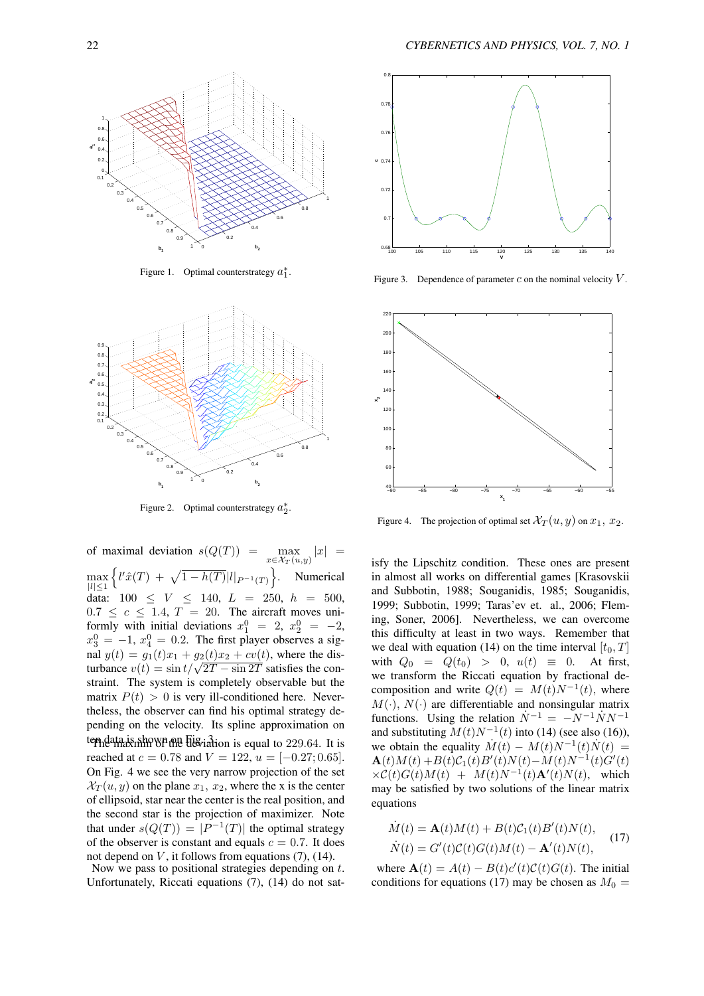

Figure 1. Optimal counterstrategy  $a_1^*$ .



Figure 2. Optimal counterstrategy  $a_2^*$ .

of maximal deviation  $s(Q(T))$  = *x∈X<sup>T</sup>* (*u,y*)  $|\text{max} |x|$  = max *|l|≤*1  $\left\{ l' \hat{x}(T) + \sqrt{1 - h(T)} |l|_{P^{-1}(T)} \right\}$ . Numerical data:  $100 \leq V \leq 140, L = 250, h = 500,$  $0.7 \leq c \leq 1.4$ ,  $T = 20$ . The aircraft moves uniformly with initial deviations  $x_1^0 = 2$ ,  $x_2^0 = -2$ ,  $x_3^0 = -1$ ,  $x_4^0 = 0.2$ . The first player observes a signal  $y(t) = g_1(t)x_1 + g_2(t)x_2 + cv(t)$ , where the dis $y(t) = g_1(t)x_1 + g_2(t)x_2 + cv(t)$ , where the disturbance  $v(t) = \sin \frac{t}{\sqrt{2T} - \sin 2T}$  satisfies the constraint. The system is completely observable but the matrix  $P(t) > 0$  is very ill-conditioned here. Nevertheless, the observer can find his optimal strategy depending on the velocity. Its spline approximation on tem data is shown one  $H^3$  is shown on  $\tilde{H}$  are deviation is equal to 229.64. It is reached at  $c = 0.78$  and  $V = 122$ ,  $u = [-0.27; 0.65]$ . On Fig. 4 we see the very narrow projection of the set  $\mathcal{X}_T(u, y)$  on the plane  $x_1, x_2$ , where the x is the center of ellipsoid, star near the center is the real position, and the second star is the projection of maximizer. Note that under  $s(Q(T)) = |P^{-1}(T)|$  the optimal strategy of the observer is constant and equals  $c = 0.7$ . It does not depend on *V* , it follows from equations (7), (14).

Now we pass to positional strategies depending on *t*. Unfortunately, Riccati equations (7), (14) do not sat-



Figure 3. Dependence of parameter  $c$  on the nominal velocity  $V$ .



Figure 4. The projection of optimal set  $\mathcal{X}_T(u, y)$  on  $x_1, x_2$ .

isfy the Lipschitz condition. These ones are present in almost all works on differential games [Krasovskii and Subbotin, 1988; Souganidis, 1985; Souganidis, 1999; Subbotin, 1999; Taras'ev et. al., 2006; Fleming, Soner, 2006]. Nevertheless, we can overcome this difficulty at least in two ways. Remember that we deal with equation (14) on the time interval  $[t_0, T]$ with  $Q_0 = Q(t_0) > 0$ ,  $u(t) \equiv 0$ . At first, we transform the Riccati equation by fractional decomposition and write  $Q(t) = M(t)N^{-1}(t)$ , where  $M(\cdot)$ ,  $N(\cdot)$  are differentiable and nonsingular matrix functions. Using the relation  $\dot{N}^{-1} = -N^{-1} \dot{N} N^{-1}$ and substituting  $M(t)N^{-1}(t)$  into (14) (see also (16)), we obtain the equality  $\dot{M}(t) - M(t)N^{-1}(t)\dot{N}(t) =$  $\mathbf{A}(t)M(t) + B(t)\mathcal{C}_1(t)B'(t)N(t) - M(t)N^{-1}(t)G'(t)$  $\times \mathcal{C}(t)G(t)M(t) + M(t)N^{-1}(t)A'(t)N(t)$ , which may be satisfied by two solutions of the linear matrix equations

$$
\dot{M}(t) = \mathbf{A}(t)M(t) + B(t)\mathcal{C}_1(t)B'(t)N(t),
$$
  
\n
$$
\dot{N}(t) = G'(t)\mathcal{C}(t)G(t)M(t) - \mathbf{A}'(t)N(t),
$$
\n(17)

where  $\mathbf{A}(t) = A(t) - B(t)c'(t)C(t)G(t)$ . The initial conditions for equations (17) may be chosen as  $M_0 =$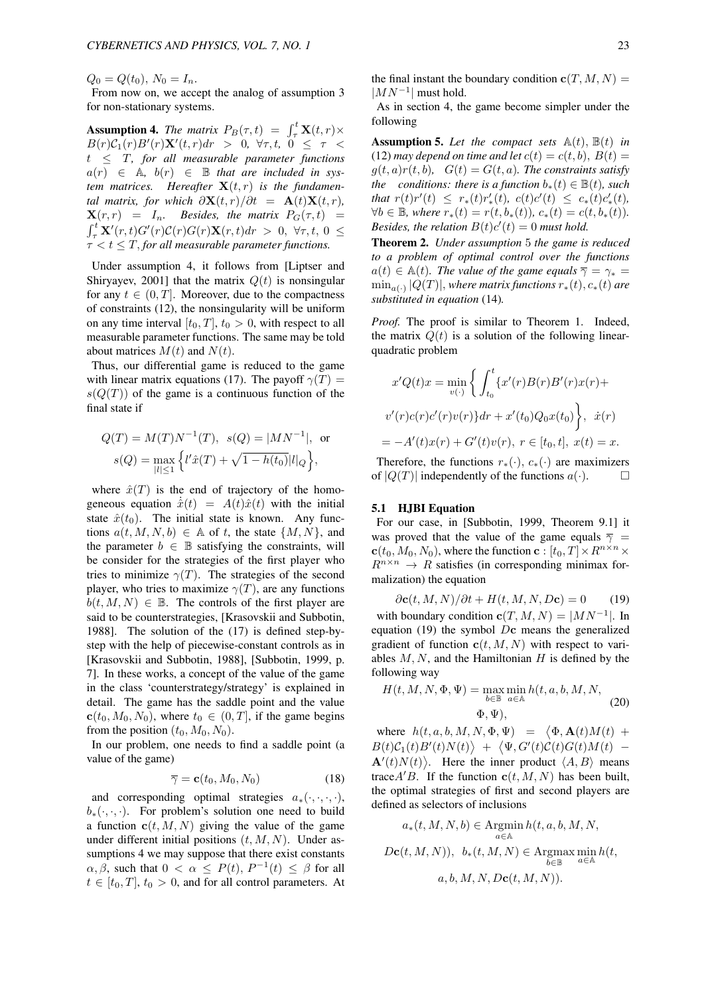$Q_0 = Q(t_0)$ ,  $N_0 = I_n$ .

From now on, we accept the analog of assumption 3 for non-stationary systems.

**Assumption 4.** *The matrix*  $P_B(\tau, t) = \int_{\tau}^{t} \mathbf{X}(t, r) \times$ *B*(*r*)*C*<sub>1</sub>(*r*)*B*<sup> $\prime$ </sup>(*r*)**X**<sup> $\prime$ </sup>(*t, <i>r*)*dr* > 0*,*  $\forall \tau, t$ *,* 0  $\leq \tau$  < *t ≤ T, for all measurable parameter functions*  $a(r) \in A$ ,  $b(r) \in B$  *that are included in sys*tem matrices. Hereafter  $\mathbf{X}(t,r)$  is the fundamen*tal matrix, for which*  $\partial$ **X**(*t, r*)/ $\partial$ *t* = **A**(*t*)**X**(*t, r*)*,*  $\mathbf{X}(r,r) = I_n$ *. Besides, the matrix*  $P_G(\tau,t) =$  $\int_{\tau}^{t} \mathbf{X}'(r,t)G'(r)C(r)\mathbf{X}(r,t)dr > 0, \forall \tau, t, 0 \le$ *τ < t ≤ T, for all measurable parameter functions.*

Under assumption 4, it follows from [Liptser and Shiryayev, 2001] that the matrix *Q*(*t*) is nonsingular for any  $t \in (0, T]$ . Moreover, due to the compactness of constraints (12), the nonsingularity will be uniform on any time interval  $[t_0, T]$ ,  $t_0 > 0$ , with respect to all measurable parameter functions. The same may be told about matrices  $M(t)$  and  $N(t)$ .

Thus, our differential game is reduced to the game with linear matrix equations (17). The payoff  $\gamma(T)$  =  $s(Q(T))$  of the game is a continuous function of the final state if

$$
Q(T) = M(T)N^{-1}(T), \quad s(Q) = |MN^{-1}|, \text{ or}
$$
  

$$
s(Q) = \max_{|l| \le 1} \left\{ l'\hat{x}(T) + \sqrt{1 - h(t_0)} |l|_Q \right\},
$$

where  $\hat{x}(T)$  is the end of trajectory of the homogeneous equation  $\hat{x}(t) = A(t)\hat{x}(t)$  with the initial state  $\hat{x}(t_0)$ . The initial state is known. Any functions  $a(t, M, N, b) \in A$  of *t*, the state  $\{M, N\}$ , and the parameter  $b \in \mathbb{B}$  satisfying the constraints, will be consider for the strategies of the first player who tries to minimize  $\gamma(T)$ . The strategies of the second player, who tries to maximize  $\gamma(T)$ , are any functions  $b(t, M, N) \in \mathbb{B}$ . The controls of the first player are said to be counterstrategies, [Krasovskii and Subbotin, 1988]. The solution of the (17) is defined step-bystep with the help of piecewise-constant controls as in [Krasovskii and Subbotin, 1988], [Subbotin, 1999, p. 7]. In these works, a concept of the value of the game in the class 'counterstrategy/strategy' is explained in detail. The game has the saddle point and the value  $c(t_0, M_0, N_0)$ , where  $t_0 \in (0, T]$ , if the game begins from the position  $(t_0, M_0, N_0)$ .

In our problem, one needs to find a saddle point (a value of the game)

$$
\overline{\gamma} = \mathbf{c}(t_0, M_0, N_0) \tag{18}
$$

and corresponding optimal strategies  $a_*(\cdot, \cdot, \cdot, \cdot)$ ,  $b_{*}(\cdot, \cdot, \cdot)$ . For problem's solution one need to build a function  $c(t, M, N)$  giving the value of the game under different initial positions (*t, M, N*). Under assumptions 4 we may suppose that there exist constants *α, β,* such that  $0 < \alpha \le P(t)$ ,  $P^{-1}(t) \le \beta$  for all  $t \in [t_0, T]$ ,  $t_0 > 0$ , and for all control parameters. At

As in section 4, the game become simpler under the following

**Assumption 5.** Let the compact sets  $\mathbb{A}(t)$ ,  $\mathbb{B}(t)$  in (12) *may depend on time and let*  $c(t) = c(t, b)$ ,  $B(t) =$  $g(t, a)r(t, b)$ ,  $G(t) = G(t, a)$ *. The constraints satisfy the conditions: there is a function*  $b_*(t) \in \mathbb{B}(t)$ *, such* that  $r(t)r'(t) \leq r_*(t)r'_*(t)$ ,  $c(t)c'(t) \leq c_*(t)c'_*(t)$ ,  $\forall b \in \mathbb{B}$ , where  $r_*(t) = r(t, b_*(t))$ ,  $c_*(t) = c(t, b_*(t))$ . *Besides, the relation*  $B(t)c'(t) = 0$  *must hold.* 

Theorem 2. *Under assumption* 5 *the game is reduced to a problem of optimal control over the functions*  $a(t) \in A(t)$ *. The value of the game equals*  $\overline{\gamma} = \gamma_* =$  $\min_{a(\cdot)} |Q(T)|$ , where matrix functions  $r_*(t)$ ,  $c_*(t)$  are *substituted in equation* (14)*.*

*Proof.* The proof is similar to Theorem 1. Indeed, the matrix  $Q(t)$  is a solution of the following linearquadratic problem

$$
x'Q(t)x = \min_{v(\cdot)} \left\{ \int_{t_0}^t \{x'(r)B(r)B'(r)x(r) +
$$
  

$$
v'(r)c(r)c'(r)v(r)\}dr + x'(t_0)Q_0x(t_0)\right\}, \dot{x}(r)
$$
  

$$
= -A'(t)x(r) + G'(t)v(r), \ r \in [t_0, t], \ x(t) = x.
$$

Therefore, the functions  $r_*(\cdot)$ ,  $c_*(\cdot)$  are maximizers of  $|O(T)|$  independently of the functions  $a(\cdot)$ of  $|Q(T)|$  independently of the functions  $a(\cdot)$ .

## 5.1 HJBI Equation

For our case, in [Subbotin, 1999, Theorem 9.1] it was proved that the value of the game equals  $\overline{\gamma}$  =  $c(t_0, M_0, N_0)$ , where the function  $c : [t_0, T] \times R^{n \times n} \times R^{n \times n}$  $R^{n \times n} \rightarrow R$  satisfies (in corresponding minimax formalization) the equation

$$
\partial \mathbf{c}(t, M, N) / \partial t + H(t, M, N, D\mathbf{c}) = 0 \tag{19}
$$

with boundary condition  $\mathbf{c}(T, M, N) = |MN^{-1}|$ . In equation (19) the symbol *D***c** means the generalized gradient of function  $c(t, M, N)$  with respect to variables *M, N*, and the Hamiltonian *H* is defined by the following way

$$
H(t, M, N, \Phi, \Psi) = \max_{b \in \mathbb{B}} \min_{a \in \mathbb{A}} h(t, a, b, M, N, \Phi, \Psi),
$$
\n
$$
\Phi, \Psi),
$$
\n(20)

where  $h(t, a, b, M, N, \Phi, \Psi) = \langle \Phi, \mathbf{A}(t)M(t) +$  $B(t)\mathcal{C}_1(t)B'(t)N(t)$  +  $\langle \Psi, G'(t)C(t)G(t)M(t)$  - $\mathbf{A}'(t)N(t)$ . Here the inner product  $\langle A, B \rangle$  means trace  $A'B$ . If the function  $c(t, M, N)$  has been built, the optimal strategies of first and second players are defined as selectors of inclusions

$$
a_*(t, M, N, b) \in \operatorname*{Argmin}_{a \in A} h(t, a, b, M, N,
$$

$$
Dc(t, M, N)), b_*(t, M, N) \in \operatorname*{Argmax}_{a \in A} \min_{a \in A} h(t,
$$

$$
a, b, M, N, Dc(t, M, N)).
$$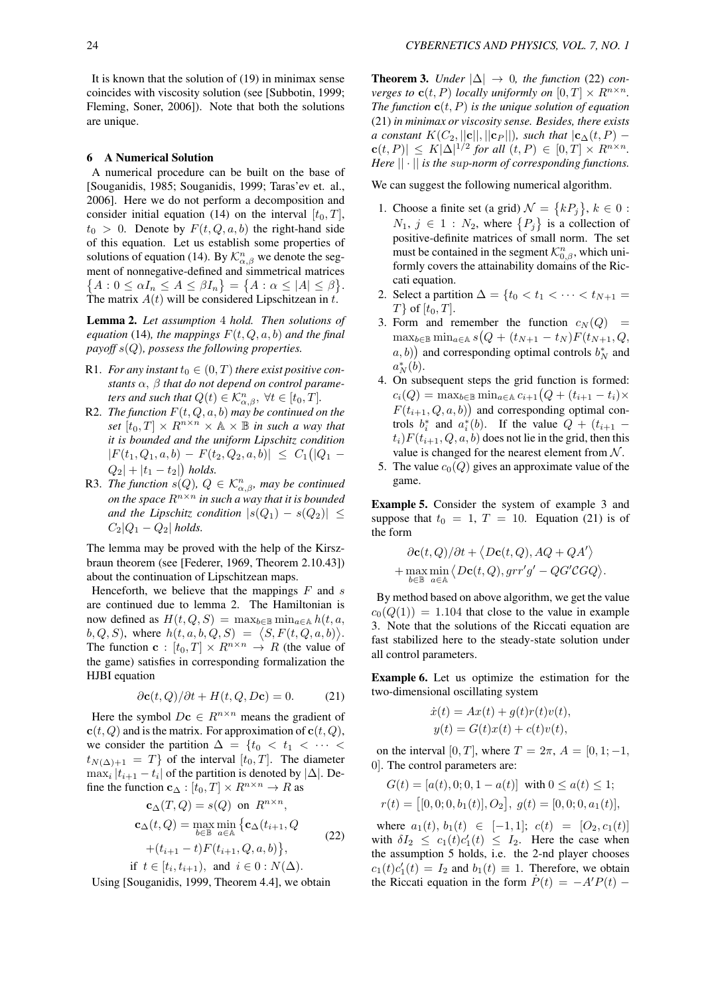It is known that the solution of (19) in minimax sense coincides with viscosity solution (see [Subbotin, 1999; Fleming, Soner, 2006]). Note that both the solutions are unique.

## 6 A Numerical Solution

A numerical procedure can be built on the base of [Souganidis, 1985; Souganidis, 1999; Taras'ev et. al., 2006]. Here we do not perform a decomposition and consider initial equation (14) on the interval  $[t_0, T]$ ,  $t_0 > 0$ . Denote by  $F(t, Q, a, b)$  the right-hand side of this equation. Let us establish some properties of solutions of equation (14). By  $\mathcal{K}_{\alpha,\beta}^n$  we denote the segment of nonnegative-defined and simmetrical matrices  ${A : 0 \le \alpha I_n \le A \le \beta I_n} = {A : \alpha \le |A| \le \beta}.$ The matrix *A*(*t*) will be considered Lipschitzean in *t*.

Lemma 2. *Let assumption* 4 *hold. Then solutions of equation* (14)*, the mappings*  $F(t, Q, a, b)$  *and the final payoff s*(*Q*)*, possess the following properties.*

- R1. *For any instant*  $t_0 \in (0, T)$  *there exist positive constants α, β that do not depend on control parameters and such that*  $Q(t) \in \mathcal{K}_{\alpha,\beta}^n$ ,  $\forall t \in [t_0, T]$ .
- R2. *The function*  $F(t, Q, a, b)$  *may be continued on the set*  $[t_0, T] \times R^{n \times n} \times A \times B$  *in such a way that it is bounded and the uniform Lipschitz condition*  $|F(t_1, Q_1, a, b) - F(t_2, Q_2, a, b)| \leq C_1(|Q_1 Q_2| + |t_1 - t_2|$  *holds.*
- R3. *The function*  $s(Q)$ ,  $Q \in \mathcal{K}_{\alpha,\beta}^n$ , may be continued *on the space R<sup>n</sup>×<sup>n</sup> in such a way that it is bounded and the Lipschitz condition*  $|s(Q_1) - s(Q_2)| \leq$  $C_2|Q_1 - Q_2|$  *holds.*

The lemma may be proved with the help of the Kirszbraun theorem (see [Federer, 1969, Theorem 2.10.43]) about the continuation of Lipschitzean maps.

Henceforth, we believe that the mappings *F* and *s* are continued due to lemma 2. The Hamiltonian is now defined as  $H(t, Q, S) = \max_{b \in \mathbb{B}} \min_{a \in \mathbb{A}} h(t, a, A)$  $b, Q, S$ , where  $h(t, a, b, Q, S) = \langle S, F(t, Q, a, b) \rangle$ . The function **c** :  $[t_0, T] \times R^{n \times n} \rightarrow R$  (the value of the game) satisfies in corresponding formalization the HJBI equation

$$
\partial \mathbf{c}(t, Q) / \partial t + H(t, Q, D\mathbf{c}) = 0. \tag{21}
$$

Here the symbol  $D\mathbf{c} \in R^{n \times n}$  means the gradient of  **and is the matrix. For approximation of**  $**c**(t, Q)$ **,** we consider the partition  $\Delta = \{t_0 < t_1 < \cdots <$  $t_{N(\Delta)+1} = T$  of the interval  $[t_0, T]$ . The diameter  $\max_i |t_{i+1} - t_i|$  of the partition is denoted by  $|\Delta|$ . Define the function  $\mathbf{c}_{\Delta} : [t_0, T] \times R^{n \times n} \to R$  as

$$
\mathbf{c}_{\Delta}(T, Q) = s(Q) \text{ on } R^{n \times n},
$$
  
\n
$$
\mathbf{c}_{\Delta}(t, Q) = \max_{b \in \mathbb{B}} \min_{a \in \mathbb{A}} \{ \mathbf{c}_{\Delta}(t_{i+1}, Q)
$$
  
\n
$$
+ (t_{i+1} - t) F(t_{i+1}, Q, a, b) \},
$$
\n(22)

if 
$$
t \in [t_i, t_{i+1})
$$
, and  $i \in 0 : N(\Delta)$ .

Using [Souganidis, 1999, Theorem 4.4], we obtain

**Theorem 3.** *Under*  $|\Delta| \rightarrow 0$ *, the function* (22) *converges to* **c**(*t, P*) *locally uniformly on*  $[0, T] \times R^{n \times n}$ . *The function*  $\mathbf{c}(t, P)$  *is the unique solution of equation* (21) *in minimax or viscosity sense. Besides, there exists a constant*  $K(C_2, ||c||, ||c_P||)$ *, such that*  $|c_{\Delta}(t, P) - c$  $f(c(t, P)) \le K|\Delta|^{1/2}$  for all  $(t, P) \in [0, T] \times R^{n \times n}$ . *Here || · || is the sup-norm of corresponding functions.*

We can suggest the following numerical algorithm.

- 1. Choose a finite set (a grid)  $\mathcal{N} = \{kP_j\}$ ,  $k \in \mathbf{0}$ :  $N_1, j \in 1 : N_2$ , where  $\{P_j\}$  is a collection of positive-definite matrices of small norm. The set must be contained in the segment  $\mathcal{K}_{0,\beta}^n$ , which uniformly covers the attainability domains of the Riccati equation.
- 2. Select a partition  $\Delta = \{t_0 < t_1 < \cdots < t_{N+1}\}$  $T$ *}* of  $[t_0, T]$ .
- 3. Form and remember the function  $c_N(Q)$  = max*<sup>b</sup>∈*<sup>B</sup> min*<sup>a</sup>∈*<sup>A</sup> *s* ( *Q* + (*tN*+1 *− t<sup>N</sup>* )*F*(*tN*+1*, Q,*  $(a, b)$  and corresponding optimal controls  $b_N^*$  and  $a_N^*(b)$ .
- 4. On subsequent steps the grid function is formed:  $c_i(Q) = \max_{b \in \mathbb{B}} \min_{a \in \mathbb{A}} c_{i+1}(Q + (t_{i+1} - t_i) \times$  $F(t_{i+1}, Q, a, b)$  and corresponding optimal controls  $b_i^*$  and  $a_i^*(b)$ . If the value  $Q + (t_{i+1}$  $t_i$ ) $F(t_{i+1}, Q, a, b)$  does not lie in the grid, then this value is changed for the nearest element from *N* .
- 5. The value  $c_0(Q)$  gives an approximate value of the game.

Example 5. Consider the system of example 3 and suppose that  $t_0 = 1, T = 10$ . Equation (21) is of the form

$$
\begin{aligned} \partial \mathbf{c}(t, Q)/\partial t + \big\langle D\mathbf{c}(t, Q), A Q + Q A' \big\rangle \\ + \max_{b \in \mathbb{B}} \min_{a \in \mathbb{A}} \big\langle D\mathbf{c}(t, Q), g r r' g' - Q G' C G Q \big\rangle. \end{aligned}
$$

By method based on above algorithm, we get the value  $c_0(Q(1)) = 1.104$  that close to the value in example 3. Note that the solutions of the Riccati equation are fast stabilized here to the steady-state solution under all control parameters.

Example 6. Let us optimize the estimation for the two-dimensional oscillating system

$$
\dot{x}(t) = Ax(t) + g(t)r(t)v(t),
$$
  

$$
y(t) = G(t)x(t) + c(t)v(t),
$$

on the interval [0*, T*], where  $T = 2\pi$ ,  $A = [0, 1; -1,$ 0]. The control parameters are:

$$
G(t) = [a(t), 0; 0, 1 - a(t)] \text{ with } 0 \le a(t) \le 1;
$$
  

$$
r(t) = [[0, 0; 0, b_1(t)], O_2], g(t) = [0, 0; 0, a_1(t)],
$$

where  $a_1(t), b_1(t) \in [-1, 1]$ ;  $c(t) = [O_2, c_1(t)]$ with  $\delta I_2 \leq c_1(t)c'_1(t) \leq I_2$ . Here the case when the assumption 5 holds, i.e. the 2-nd player chooses  $c_1(t)c'_1(t) = I_2$  and  $b_1(t) \equiv 1$ . Therefore, we obtain the Riccati equation in the form  $\dot{P}(t) = -A'P(t) - \dot{P}(t)$